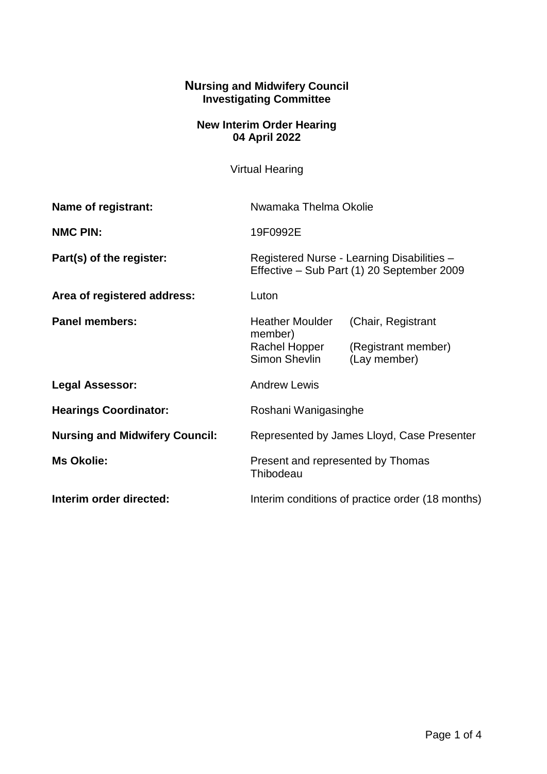## **Nursing and Midwifery Council Investigating Committee**

## **New Interim Order Hearing 04 April 2022**

Virtual Hearing

| Name of registrant:                   | Nwamaka Thelma Okolie                                                                    |                                                           |
|---------------------------------------|------------------------------------------------------------------------------------------|-----------------------------------------------------------|
| <b>NMC PIN:</b>                       | 19F0992E                                                                                 |                                                           |
| Part(s) of the register:              | Registered Nurse - Learning Disabilities -<br>Effective - Sub Part (1) 20 September 2009 |                                                           |
| Area of registered address:           | Luton                                                                                    |                                                           |
| <b>Panel members:</b>                 | <b>Heather Moulder</b><br>member)<br>Rachel Hopper<br>Simon Shevlin                      | (Chair, Registrant<br>(Registrant member)<br>(Lay member) |
| <b>Legal Assessor:</b>                | <b>Andrew Lewis</b>                                                                      |                                                           |
| <b>Hearings Coordinator:</b>          | Roshani Wanigasinghe                                                                     |                                                           |
| <b>Nursing and Midwifery Council:</b> | Represented by James Lloyd, Case Presenter                                               |                                                           |
| <b>Ms Okolie:</b>                     | Present and represented by Thomas<br>Thibodeau                                           |                                                           |
| Interim order directed:               | Interim conditions of practice order (18 months)                                         |                                                           |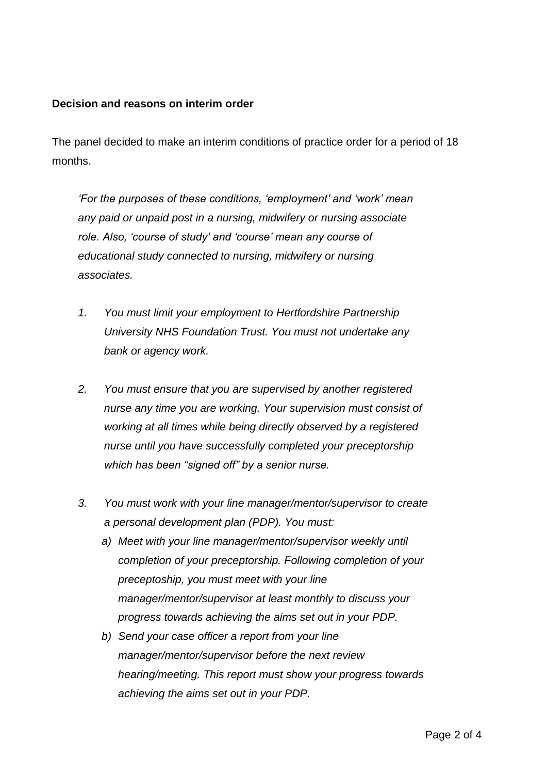## **Decision and reasons on interim order**

The panel decided to make an interim conditions of practice order for a period of 18 months.

*'For the purposes of these conditions, 'employment' and 'work' mean any paid or unpaid post in a nursing, midwifery or nursing associate role. Also, 'course of study' and 'course' mean any course of educational study connected to nursing, midwifery or nursing associates.*

- *1. You must limit your employment to Hertfordshire Partnership University NHS Foundation Trust. You must not undertake any bank or agency work.*
- *2. You must ensure that you are supervised by another registered nurse any time you are working. Your supervision must consist of working at all times while being directly observed by a registered nurse until you have successfully completed your preceptorship which has been "signed off" by a senior nurse.*
- *3. You must work with your line manager/mentor/supervisor to create a personal development plan (PDP). You must:* 
	- *a) Meet with your line manager/mentor/supervisor weekly until completion of your preceptorship. Following completion of your preceptoship, you must meet with your line manager/mentor/supervisor at least monthly to discuss your progress towards achieving the aims set out in your PDP.*
	- *b) Send your case officer a report from your line manager/mentor/supervisor before the next review hearing/meeting. This report must show your progress towards achieving the aims set out in your PDP.*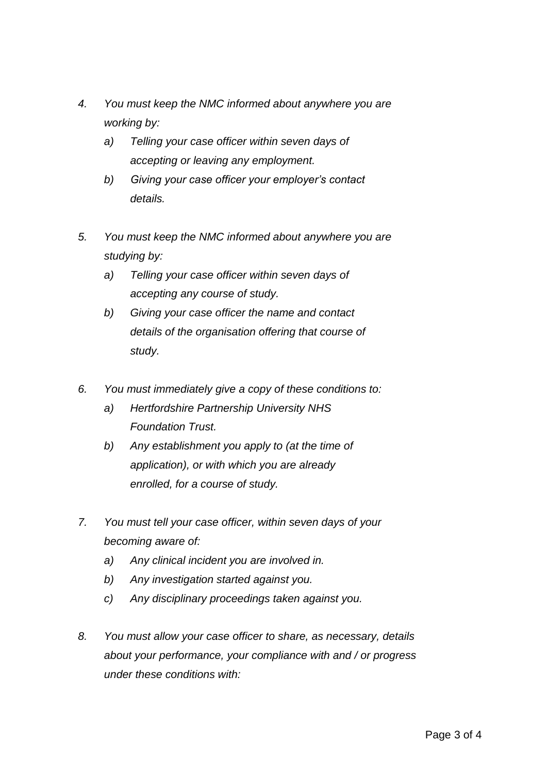- *4. You must keep the NMC informed about anywhere you are working by:* 
	- *a) Telling your case officer within seven days of accepting or leaving any employment.*
	- *b) Giving your case officer your employer's contact details.*
- *5. You must keep the NMC informed about anywhere you are studying by:* 
	- *a) Telling your case officer within seven days of accepting any course of study.*
	- *b) Giving your case officer the name and contact details of the organisation offering that course of study.*
- *6. You must immediately give a copy of these conditions to:* 
	- *a) Hertfordshire Partnership University NHS Foundation Trust.*
	- *b) Any establishment you apply to (at the time of application), or with which you are already enrolled, for a course of study.*
- *7. You must tell your case officer, within seven days of your becoming aware of:*
	- *a) Any clinical incident you are involved in.*
	- *b) Any investigation started against you.*
	- *c) Any disciplinary proceedings taken against you.*
- *8. You must allow your case officer to share, as necessary, details about your performance, your compliance with and / or progress under these conditions with:*